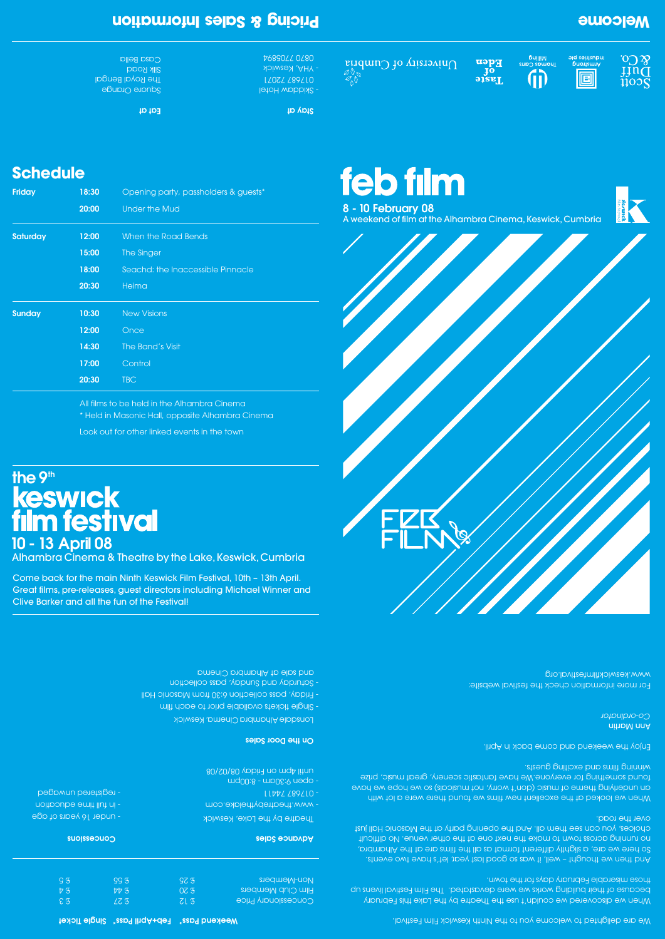**8 - 10 February 08** A weekend of film at the Alhambra Cinema, Keswick, Cumbria

**Eden**<br>Pof<br>Taste





#### We are delighted to welcome you to the Ninth Keswick Film Festival.

When we discovered we couldn't use the Theatre by the Lake this February because of their building works we were devastated. The Film Festival livens up those miserable February days for the town.

When we looked at the excellent new films we found there were a lot with an underlying theme of music (don't worry, not musicals) so we hope we have found something for everyone.We have fantastic scenery, great music, prize winning films and exciting guests.

For more information check the festival website: www.keswickfilmfestival.org

And then we thought – well, it was so good last year, let's have two events. So here we are, a slightly different format as all the films are at the Alhambra, no running across town to make the next one at the other venue. No difficult choices, you can see them all. And the opening party at the Masonic Hall just over the road.

Square Orange **The Royal Bengal** Silk Road Casa Bella

# **10 - 13 April 08 the 9th<br>
keswick<br>
film festival**

Enjoy the weekend and come back in April.

Ann Martin *Co-ordinator*

#### £ 12 £ 20 £ 25  $LZ$  3  $77<sub>5</sub>$ £ 55 Concessionary Price Film Club Members Non-Members

 **Advance Sales**

 Theatre by the Lake, Keswick - www.theatrebythelake.com - 017687 74411 - open 9:30am - 8:00pm until 4pm on Friday 08/02/08

**On the Door Sales**

Lonsdale Alhambra Cinema, Keswick Single tickets available prior to each film - Friday, pass collection 6:30 from Masonic Hall - saturday and Sunday, pass collection and sale at Alhambra Cinema

#### **Concessions**

- under 16 years of age - in full time education - registered unwaged

> $E \mathfrak{F}$  $\nabla$  3  $G$

 **Stay at**

- Skiddaw Hotel 017687 72071 - YHA, Keswick 0870 7705894

**Eat at**

#### **Weekend Pass\* Feb+April Pass\* Single Ticket**

## **Welcome**

 $\partial\Omega$ 

IJňď

 $\tilde{1}\tilde{1}$ 00 $\bar{S}$ 

**Primstrong**<br>Indiasing plc

回

niilling<br>Thomas Carrs

 $\overline{D}$ 

## **Schedule**

## **Pricing & Sales Information**

Alhambra Cinema & Theatre by the Lake, Keswick, Cumbria

Come back for the main Ninth Keswick Film Festival, 10th – 13th April. Great films, pre-releases, guest directors including Michael Winner and Clive Barker and all the fun of the Festival!

**feb film** 

 $\bigcap$ niversity of  $\bigcup$ umbria

| <b>Friday</b>   | 18:30 | Opening party, passholders & guests* |
|-----------------|-------|--------------------------------------|
|                 | 20:00 | <b>Under the Mud</b>                 |
| <b>Saturday</b> | 12:00 | When the Road Bends                  |
|                 | 15:00 | The Singer                           |
|                 | 18:00 | Seachd: the Inaccessible Pinnacle    |
|                 | 20:30 | Heima                                |
| <b>Sunday</b>   | 10:30 | <b>New Visions</b>                   |
|                 | 12:00 | Once                                 |
|                 | 14:30 | The Band's Visit                     |
|                 | 17:00 | Control                              |
|                 | 20:30 | <b>TBC</b>                           |

All films to be held in the Alhambra Cinema

\* Held in Masonic Hall, opposite Alhambra Cinema

Look out for other linked events in the town